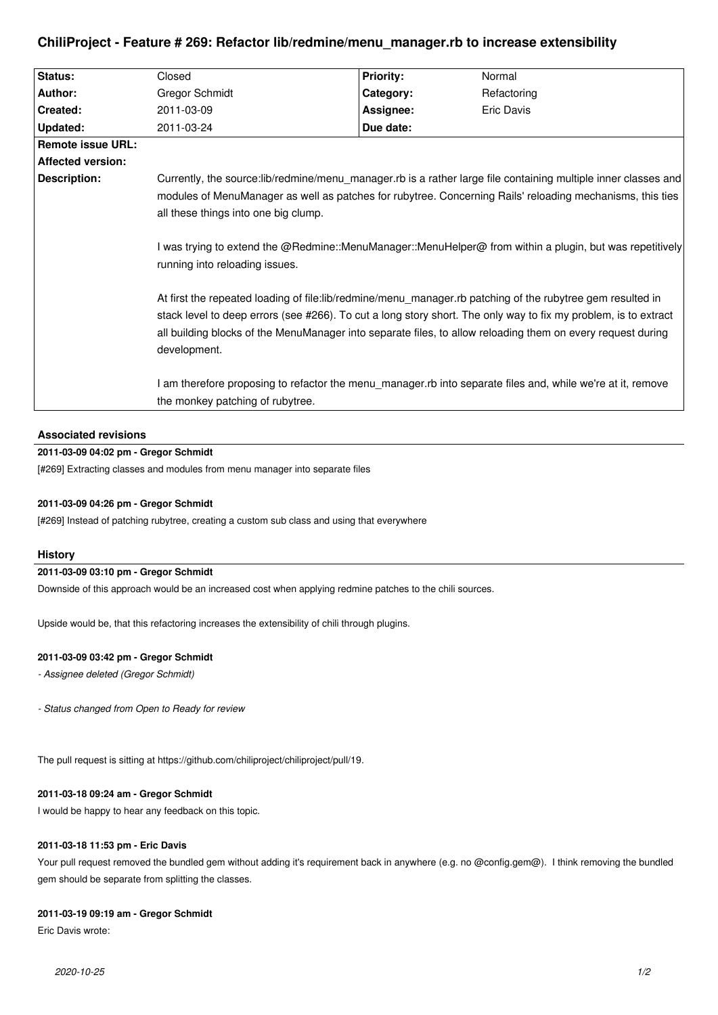# **ChiliProject - Feature # 269: Refactor lib/redmine/menu\_manager.rb to increase extensibility**

| <b>Affected version:</b>                                                                                                                                                                                                                                                                                                                                                                                                                                                                                                                                                                                                                                                                                                                                                                                                                                                                                           |  |  |  |  |
|--------------------------------------------------------------------------------------------------------------------------------------------------------------------------------------------------------------------------------------------------------------------------------------------------------------------------------------------------------------------------------------------------------------------------------------------------------------------------------------------------------------------------------------------------------------------------------------------------------------------------------------------------------------------------------------------------------------------------------------------------------------------------------------------------------------------------------------------------------------------------------------------------------------------|--|--|--|--|
| Description:<br>Currently, the source:lib/redmine/menu_manager.rb is a rather large file containing multiple inner classes and<br>modules of MenuManager as well as patches for rubytree. Concerning Rails' reloading mechanisms, this ties<br>all these things into one big clump.<br>I was trying to extend the @Redmine::MenuManager::MenuHelper@ from within a plugin, but was repetitively<br>running into reloading issues.<br>At first the repeated loading of file: lib/redmine/menu manager. rb patching of the rubytree gem resulted in<br>stack level to deep errors (see #266). To cut a long story short. The only way to fix my problem, is to extract<br>all building blocks of the MenuManager into separate files, to allow reloading them on every request during<br>development.<br>I am therefore proposing to refactor the menu_manager.rb into separate files and, while we're at it, remove |  |  |  |  |
| the monkey patching of rubytree.                                                                                                                                                                                                                                                                                                                                                                                                                                                                                                                                                                                                                                                                                                                                                                                                                                                                                   |  |  |  |  |
|                                                                                                                                                                                                                                                                                                                                                                                                                                                                                                                                                                                                                                                                                                                                                                                                                                                                                                                    |  |  |  |  |

# **Associated revisions**

# **2011-03-09 04:02 pm - Gregor Schmidt**

[#269] Extracting classes and modules from menu manager into separate files

### **2011-03-09 04:26 pm - Gregor Schmidt**

[#269] Instead of patching rubytree, creating a custom sub class and using that everywhere

### **History**

# **2011-03-09 03:10 pm - Gregor Schmidt**

Downside of this approach would be an increased cost when applying redmine patches to the chili sources.

Upside would be, that this refactoring increases the extensibility of chili through plugins.

## **2011-03-09 03:42 pm - Gregor Schmidt**

*- Assignee deleted (Gregor Schmidt)*

*- Status changed from Open to Ready for review*

The pull request is sitting at https://github.com/chiliproject/chiliproject/pull/19.

#### **2011-03-18 09:24 am - Gregor Schmidt**

I would be happy to hear any feedback on this topic.

#### **2011-03-18 11:53 pm - Eric Davis**

Your pull request removed the bundled gem without adding it's requirement back in anywhere (e.g. no @config.gem@). I think removing the bundled gem should be separate from splitting the classes.

### **2011-03-19 09:19 am - Gregor Schmidt**

Eric Davis wrote: